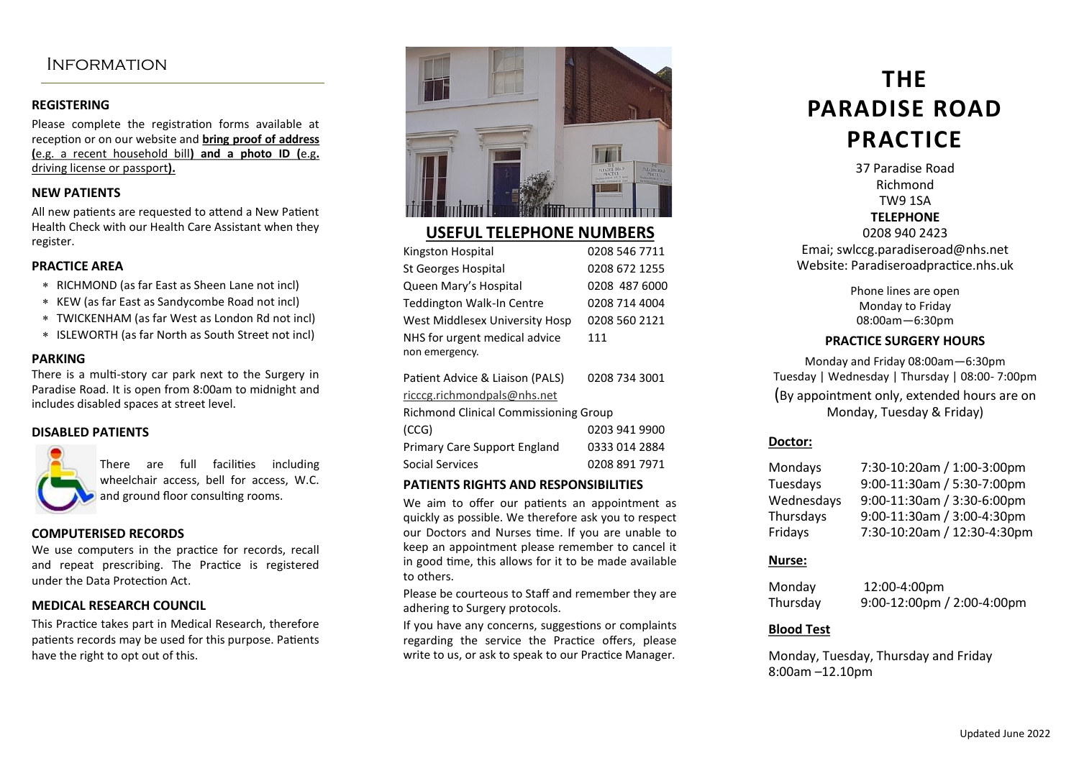### **INFORMATION**

#### **REGISTERING**

Please complete the registration forms available at reception or on our website and **bring proof of address (**e.g. a recent household bill**) and a photo ID (**e.g**.**  driving license or passport**).**

#### **NEW PATIENTS**

All new patients are requested to attend a New Patient Health Check with our Health Care Assistant when they register.

#### **PRACTICE AREA**

- RICHMOND (as far East as Sheen Lane not incl)
- KEW (as far East as Sandycombe Road not incl)
- TWICKENHAM (as far West as London Rd not incl)
- ISLEWORTH (as far North as South Street not incl)

#### **PARKING**

There is a multi-story car park next to the Surgery in Paradise Road. It is open from 8:00am to midnight and includes disabled spaces at street level.

#### **DISABLED PATIENTS**



There are full facilities including wheelchair access, bell for access, W.C. and ground floor consulting rooms.

#### **COMPUTERISED RECORDS**

We use computers in the practice for records, recall and repeat prescribing. The Practice is registered under the Data Protection Act.

#### **MEDICAL RESEARCH COUNCIL**

This Practice takes part in Medical Research, therefore patients records may be used for this purpose. Patients have the right to opt out of this.



### **USEFUL TELEPHONE NUMBERS**

| Kingston Hospital              | 0208 546 7711 |
|--------------------------------|---------------|
| <b>St Georges Hospital</b>     | 0208 672 1255 |
| Queen Mary's Hospital          | 0208 487 6000 |
| Teddington Walk-In Centre      | 0208 714 4004 |
| West Middlesex University Hosp | 0208 560 2121 |
| NHS for urgent medical advice  | 111           |
| non emergency.                 |               |
|                                |               |

| Patient Advice & Liaison (PALS)              | 0208 734 3001 |
|----------------------------------------------|---------------|
| ricccg.richmondpals@nhs.net                  |               |
| <b>Richmond Clinical Commissioning Group</b> |               |
| (CCG)                                        | 0203 941 9900 |
| Primary Care Support England                 | 0333 014 2884 |
| Social Services                              | 0208 891 7971 |
|                                              |               |

#### **PATIENTS RIGHTS AND RESPONSIBILITIES**

We aim to offer our patients an appointment as quickly as possible. We therefore ask you to respect our Doctors and Nurses time. If you are unable to keep an appointment please remember to cancel it in good time, this allows for it to be made available to others.

Please be courteous to Staff and remember they are adhering to Surgery protocols.

If you have any concerns, suggestions or complaints regarding the service the Practice offers, please write to us, or ask to speak to our Practice Manager.

# **THE PARADISE ROAD PRACTICE**

37 Paradise Road Richmond TW9 1SA **TELEPHONE** 0208 940 2423

Emai; swlccg.paradiseroad@nhs.net Website: Paradiseroadpractice.nhs.uk

> Phone lines are open Monday to Friday 08:00am—6:30pm

#### **PRACTICE SURGERY HOURS**

Monday and Friday 08:00am—6:30pm Tuesday | Wednesday | Thursday | 08:00- 7:00pm

(By appointment only, extended hours are on Monday, Tuesday & Friday)

#### **Doctor:**

| 7:30-10:20am / 1:00-3:00pm  |
|-----------------------------|
| 9:00-11:30am / 5:30-7:00pm  |
| 9:00-11:30am / 3:30-6:00pm  |
| 9:00-11:30am / 3:00-4:30pm  |
| 7:30-10:20am / 12:30-4:30pm |
|                             |

#### **Nurse:**

Monday 12:00-4:00pm Thursday 9:00-12:00pm / 2:00-4:00pm

#### **Blood Test**

Monday, Tuesday, Thursday and Friday 8:00am –12.10pm